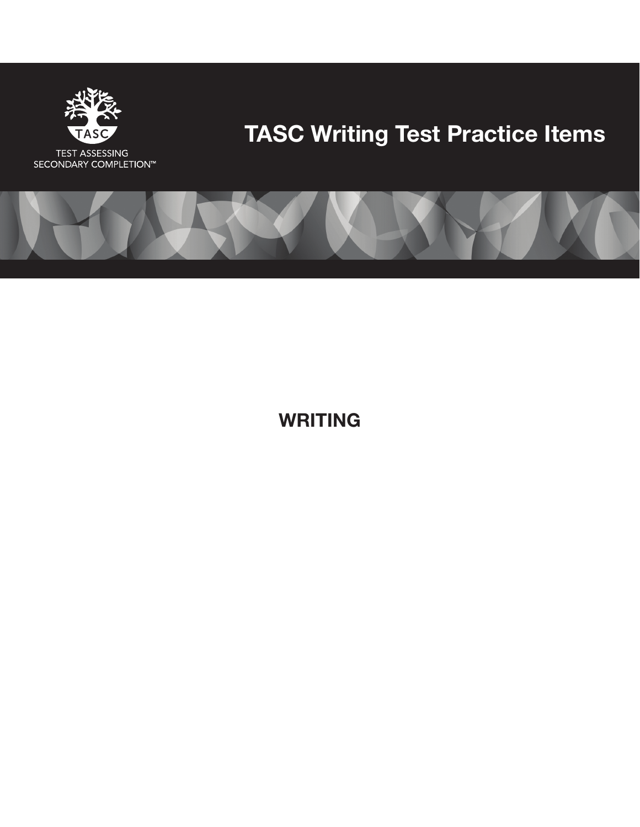

TEST ASSESSING<br>SECONDARY COMPLETION™

# TASC Writing Test Practice Items



WRITING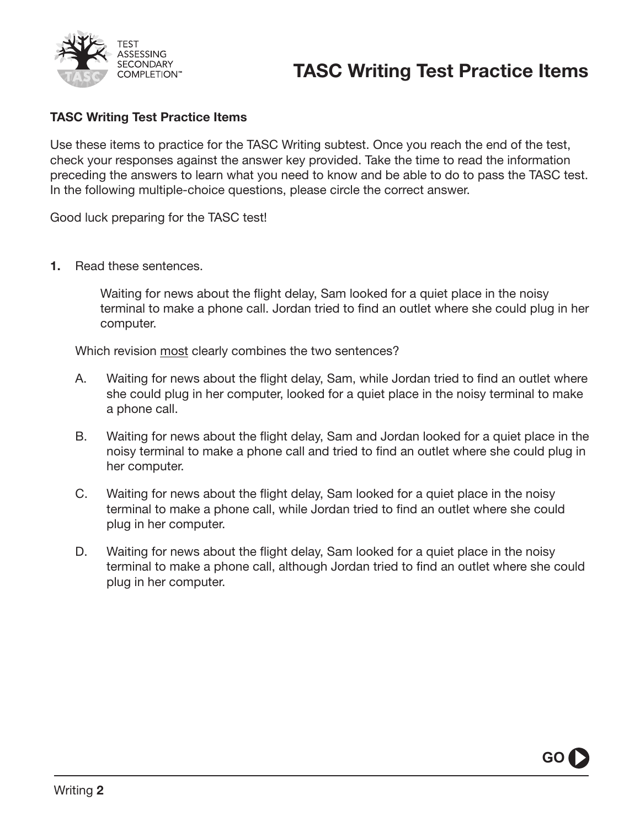

### TASC Writing Test Practice Items

Use these items to practice for the TASC Writing subtest. Once you reach the end of the test, check your responses against the answer key provided. Take the time to read the information preceding the answers to learn what you need to know and be able to do to pass the TASC test. In the following multiple-choice questions, please circle the correct answer.

Good luck preparing for the TASC test!

1. Read these sentences.

Waiting for news about the flight delay, Sam looked for a quiet place in the noisy terminal to make a phone call. Jordan tried to find an outlet where she could plug in her computer.

Which revision most clearly combines the two sentences?

- A. Waiting for news about the flight delay, Sam, while Jordan tried to find an outlet where she could plug in her computer, looked for a quiet place in the noisy terminal to make a phone call.
- B. Waiting for news about the flight delay, Sam and Jordan looked for a quiet place in the noisy terminal to make a phone call and tried to find an outlet where she could plug in her computer.
- C. Waiting for news about the flight delay, Sam looked for a quiet place in the noisy terminal to make a phone call, while Jordan tried to find an outlet where she could plug in her computer.
- D. Waiting for news about the flight delay, Sam looked for a quiet place in the noisy terminal to make a phone call, although Jordan tried to find an outlet where she could plug in her computer.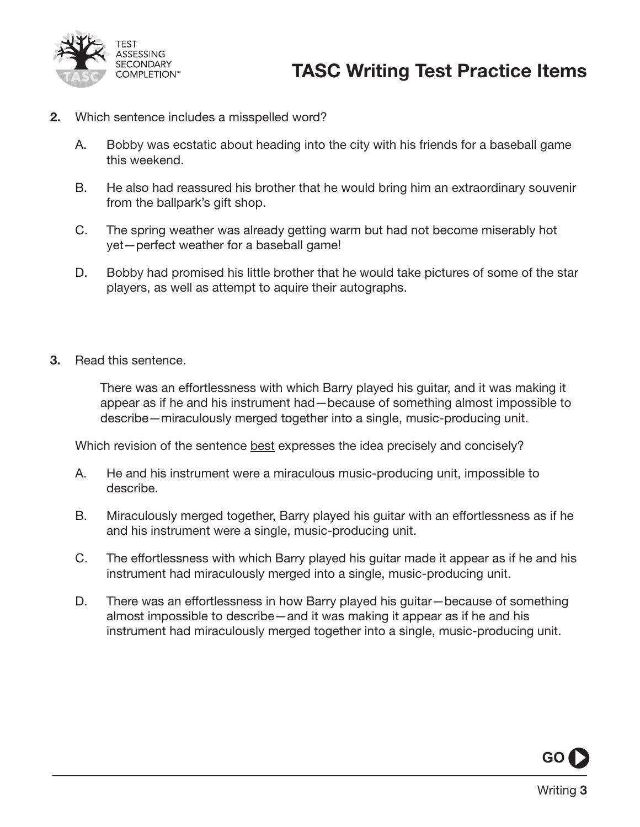

- 2. Which sentence includes a misspelled word?
	- A. Bobby was ecstatic about heading into the city with his friends for a baseball game this weekend.
	- B. He also had reassured his brother that he would bring him an extraordinary souvenir from the ballpark's gift shop.
	- C. The spring weather was already getting warm but had not become miserably hot yet—perfect weather for a baseball game!
	- D. Bobby had promised his little brother that he would take pictures of some of the star players, as well as attempt to aquire their autographs.
- 3. Read this sentence.

There was an effortlessness with which Barry played his guitar, and it was making it appear as if he and his instrument had—because of something almost impossible to describe—miraculously merged together into a single, music-producing unit.

Which revision of the sentence best expresses the idea precisely and concisely?

- A. He and his instrument were a miraculous music-producing unit, impossible to describe.
- B. Miraculously merged together, Barry played his guitar with an effortlessness as if he and his instrument were a single, music-producing unit.
- C. The effortlessness with which Barry played his guitar made it appear as if he and his instrument had miraculously merged into a single, music-producing unit.
- D. There was an effortlessness in how Barry played his guitar—because of something almost impossible to describe—and it was making it appear as if he and his instrument had miraculously merged together into a single, music-producing unit.

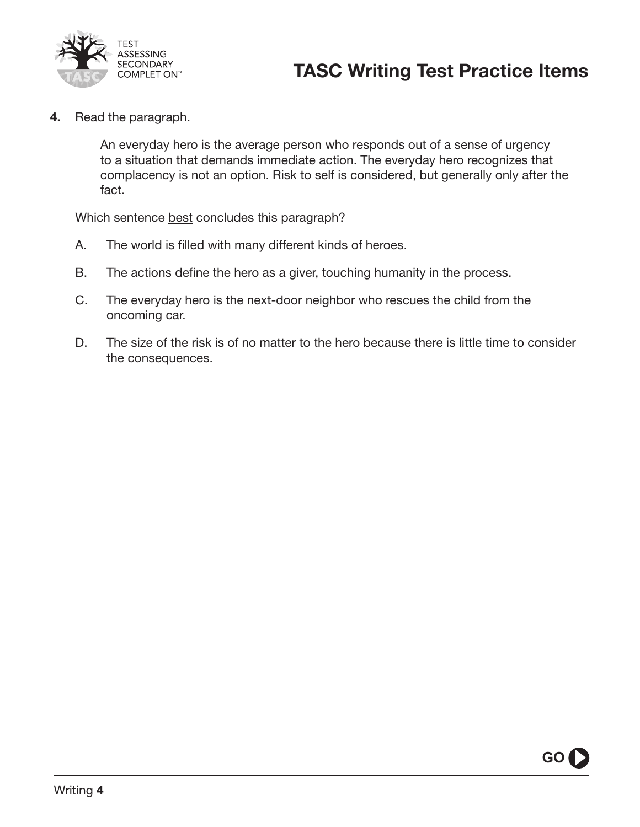

**GO**

4. Read the paragraph.

An everyday hero is the average person who responds out of a sense of urgency to a situation that demands immediate action. The everyday hero recognizes that complacency is not an option. Risk to self is considered, but generally only after the fact.

Which sentence best concludes this paragraph?

- A. The world is filled with many different kinds of heroes.
- B. The actions define the hero as a giver, touching humanity in the process.
- C. The everyday hero is the next-door neighbor who rescues the child from the oncoming car.
- D. The size of the risk is of no matter to the hero because there is little time to consider the consequences.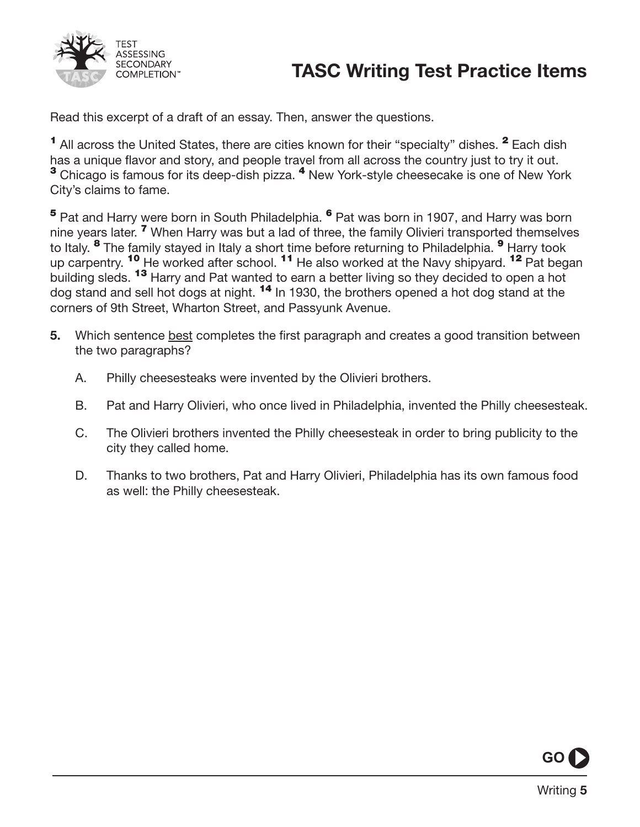

Read this excerpt of a draft of an essay. Then, answer the questions.

<sup>1</sup> All across the United States, there are cities known for their "specialty" dishes. <sup>2</sup> Each dish has a unique flavor and story, and people travel from all across the country just to try it out. <sup>3</sup> Chicago is famous for its deep-dish pizza. <sup>4</sup> New York-style cheesecake is one of New York City's claims to fame.

<sup>5</sup> Pat and Harry were born in South Philadelphia. <sup>6</sup> Pat was born in 1907, and Harry was born nine years later.<sup>7</sup> When Harry was but a lad of three, the family Olivieri transported themselves to Italy. <sup>8</sup> The family stayed in Italy a short time before returning to Philadelphia. <sup>9</sup> Harry took up carpentry. <sup>10</sup> He worked after school. <sup>11</sup> He also worked at the Navy shipyard. <sup>12</sup> Pat began building sleds. <sup>13</sup> Harry and Pat wanted to earn a better living so they decided to open a hot dog stand and sell hot dogs at night. 14 In 1930, the brothers opened a hot dog stand at the corners of 9th Street, Wharton Street, and Passyunk Avenue.

- 5. Which sentence best completes the first paragraph and creates a good transition between the two paragraphs?
	- A. Philly cheesesteaks were invented by the Olivieri brothers.
	- B. Pat and Harry Olivieri, who once lived in Philadelphia, invented the Philly cheesesteak.
	- C. The Olivieri brothers invented the Philly cheesesteak in order to bring publicity to the city they called home.
	- D. Thanks to two brothers, Pat and Harry Olivieri, Philadelphia has its own famous food as well: the Philly cheesesteak.

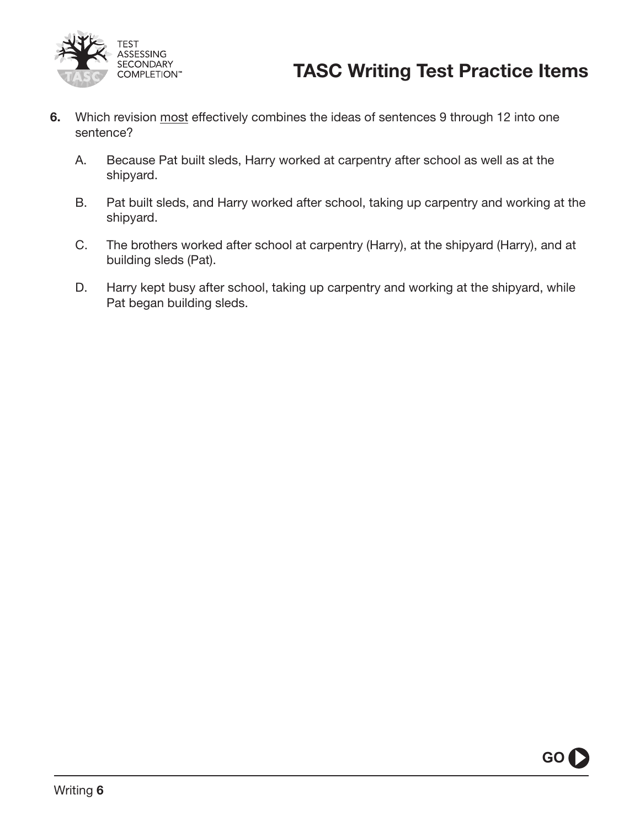

- 6. Which revision most effectively combines the ideas of sentences 9 through 12 into one sentence?
	- A. Because Pat built sleds, Harry worked at carpentry after school as well as at the shipyard.
	- B. Pat built sleds, and Harry worked after school, taking up carpentry and working at the shipyard.
	- C. The brothers worked after school at carpentry (Harry), at the shipyard (Harry), and at building sleds (Pat).
	- D. Harry kept busy after school, taking up carpentry and working at the shipyard, while Pat began building sleds.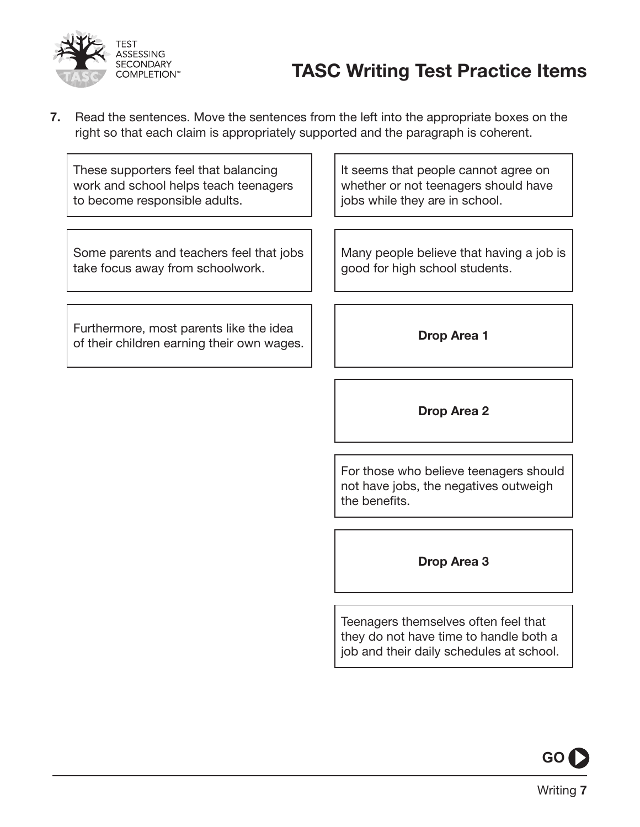

7. Read the sentences. Move the sentences from the left into the appropriate boxes on the right so that each claim is appropriately supported and the paragraph is coherent.

These supporters feel that balancing work and school helps teach teenagers to become responsible adults.

Some parents and teachers feel that jobs take focus away from schoolwork.

Furthermore, most parents like the idea of their children earning their own wages. **Drop Area 1** 

It seems that people cannot agree on whether or not teenagers should have jobs while they are in school.

Many people believe that having a job is good for high school students.

Drop Area 2

For those who believe teenagers should not have jobs, the negatives outweigh the benefits.

Drop Area 3

Teenagers themselves often feel that they do not have time to handle both a job and their daily schedules at school.

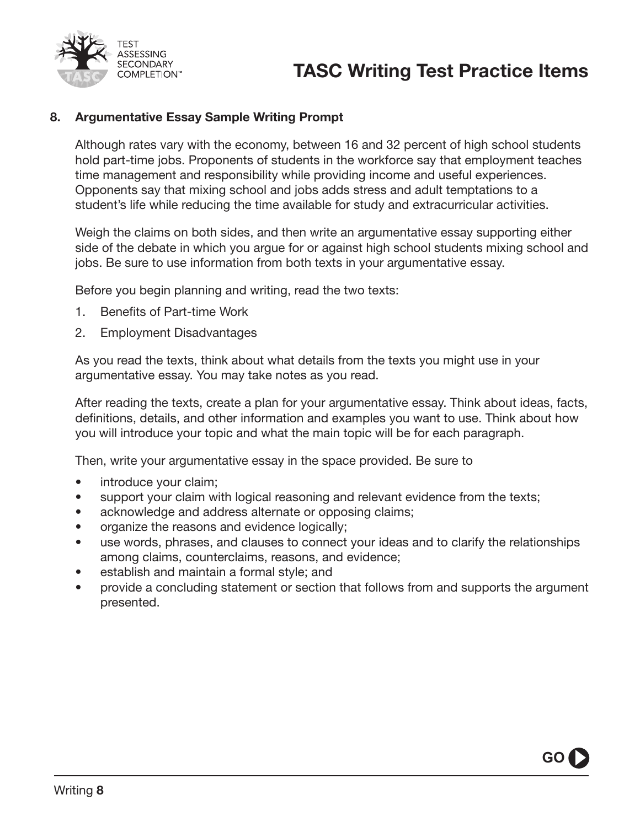

### 8. Argumentative Essay Sample Writing Prompt

Although rates vary with the economy, between 16 and 32 percent of high school students hold part-time jobs. Proponents of students in the workforce say that employment teaches time management and responsibility while providing income and useful experiences. Opponents say that mixing school and jobs adds stress and adult temptations to a student's life while reducing the time available for study and extracurricular activities.

Weigh the claims on both sides, and then write an argumentative essay supporting either side of the debate in which you argue for or against high school students mixing school and jobs. Be sure to use information from both texts in your argumentative essay.

Before you begin planning and writing, read the two texts:

- 1. Benefits of Part-time Work
- 2. Employment Disadvantages

As you read the texts, think about what details from the texts you might use in your argumentative essay. You may take notes as you read.

After reading the texts, create a plan for your argumentative essay. Think about ideas, facts, definitions, details, and other information and examples you want to use. Think about how you will introduce your topic and what the main topic will be for each paragraph.

Then, write your argumentative essay in the space provided. Be sure to

- introduce your claim;
- support your claim with logical reasoning and relevant evidence from the texts;
- acknowledge and address alternate or opposing claims;
- organize the reasons and evidence logically;
- use words, phrases, and clauses to connect your ideas and to clarify the relationships among claims, counterclaims, reasons, and evidence;
- establish and maintain a formal style; and
- provide a concluding statement or section that follows from and supports the argument presented.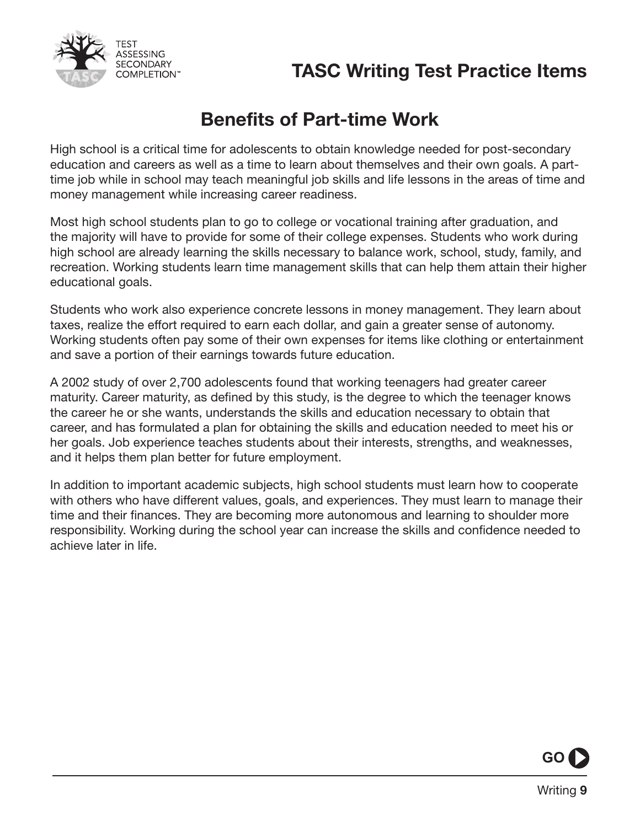

### Benefits of Part-time Work

High school is a critical time for adolescents to obtain knowledge needed for post-secondary education and careers as well as a time to learn about themselves and their own goals. A parttime job while in school may teach meaningful job skills and life lessons in the areas of time and money management while increasing career readiness.

Most high school students plan to go to college or vocational training after graduation, and the majority will have to provide for some of their college expenses. Students who work during high school are already learning the skills necessary to balance work, school, study, family, and recreation. Working students learn time management skills that can help them attain their higher educational goals.

Students who work also experience concrete lessons in money management. They learn about taxes, realize the effort required to earn each dollar, and gain a greater sense of autonomy. Working students often pay some of their own expenses for items like clothing or entertainment and save a portion of their earnings towards future education.

A 2002 study of over 2,700 adolescents found that working teenagers had greater career maturity. Career maturity, as defined by this study, is the degree to which the teenager knows the career he or she wants, understands the skills and education necessary to obtain that career, and has formulated a plan for obtaining the skills and education needed to meet his or her goals. Job experience teaches students about their interests, strengths, and weaknesses, and it helps them plan better for future employment.

In addition to important academic subjects, high school students must learn how to cooperate with others who have different values, goals, and experiences. They must learn to manage their time and their finances. They are becoming more autonomous and learning to shoulder more responsibility. Working during the school year can increase the skills and confidence needed to achieve later in life.

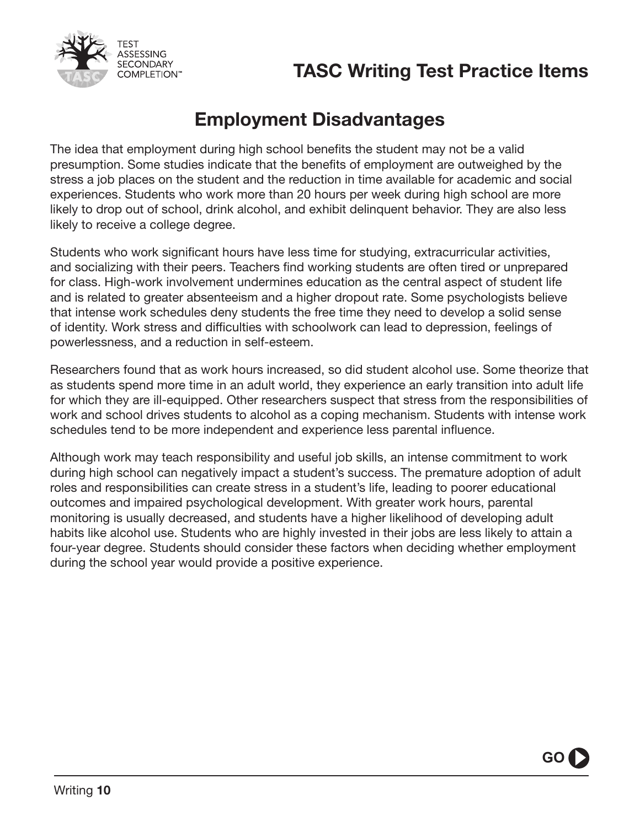

### Employment Disadvantages

The idea that employment during high school benefits the student may not be a valid presumption. Some studies indicate that the benefits of employment are outweighed by the stress a job places on the student and the reduction in time available for academic and social experiences. Students who work more than 20 hours per week during high school are more likely to drop out of school, drink alcohol, and exhibit delinquent behavior. They are also less likely to receive a college degree.

Students who work significant hours have less time for studying, extracurricular activities, and socializing with their peers. Teachers find working students are often tired or unprepared for class. High-work involvement undermines education as the central aspect of student life and is related to greater absenteeism and a higher dropout rate. Some psychologists believe that intense work schedules deny students the free time they need to develop a solid sense of identity. Work stress and difficulties with schoolwork can lead to depression, feelings of powerlessness, and a reduction in self-esteem.

Researchers found that as work hours increased, so did student alcohol use. Some theorize that as students spend more time in an adult world, they experience an early transition into adult life for which they are ill-equipped. Other researchers suspect that stress from the responsibilities of work and school drives students to alcohol as a coping mechanism. Students with intense work schedules tend to be more independent and experience less parental influence.

Although work may teach responsibility and useful job skills, an intense commitment to work during high school can negatively impact a student's success. The premature adoption of adult roles and responsibilities can create stress in a student's life, leading to poorer educational outcomes and impaired psychological development. With greater work hours, parental monitoring is usually decreased, and students have a higher likelihood of developing adult habits like alcohol use. Students who are highly invested in their jobs are less likely to attain a four-year degree. Students should consider these factors when deciding whether employment during the school year would provide a positive experience.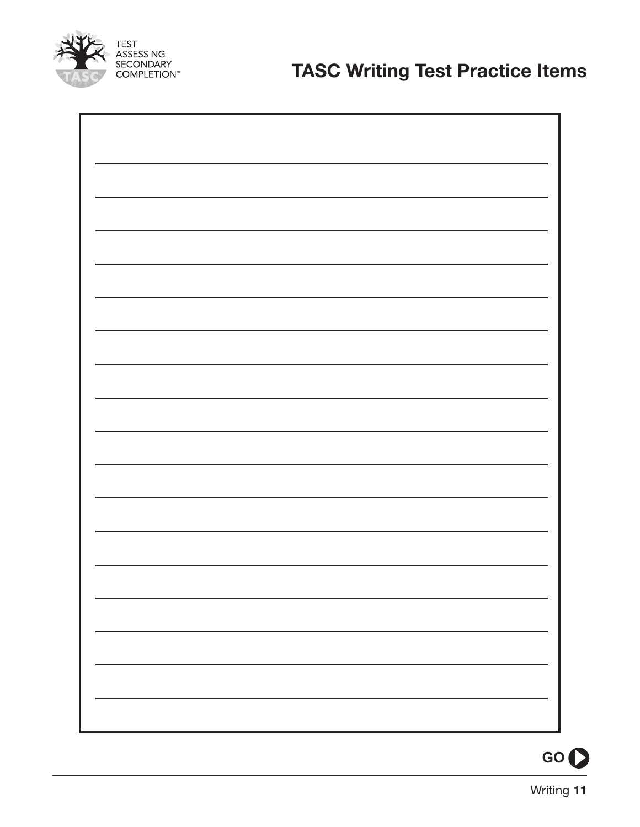

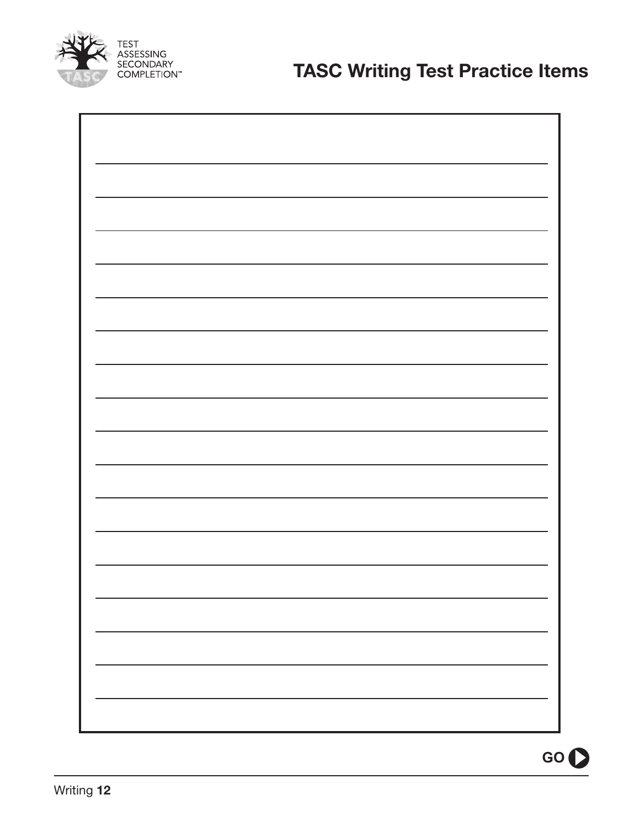

**GO**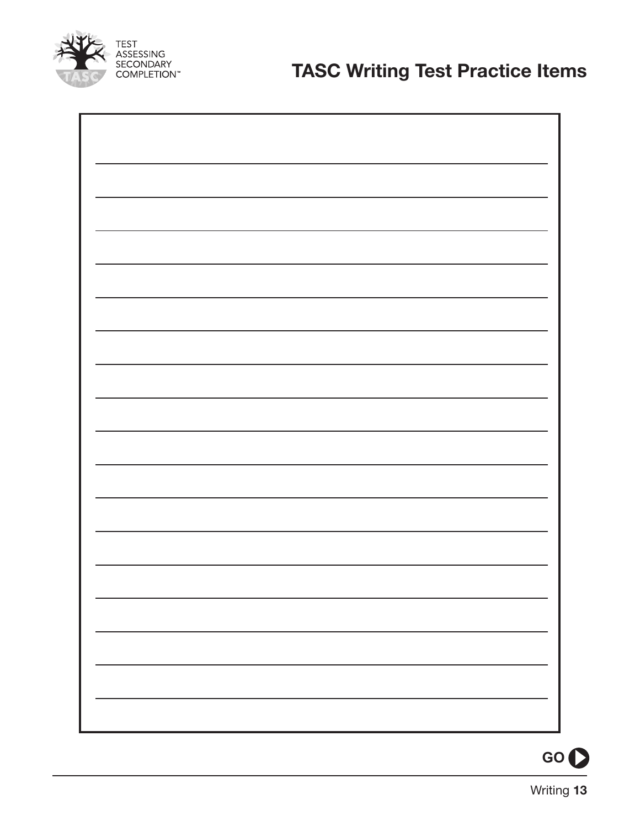

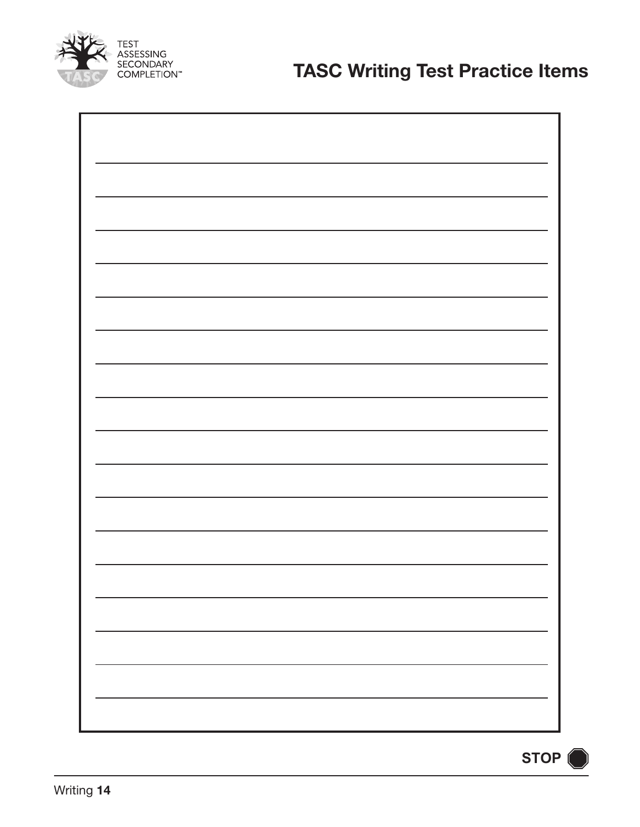

**STOP**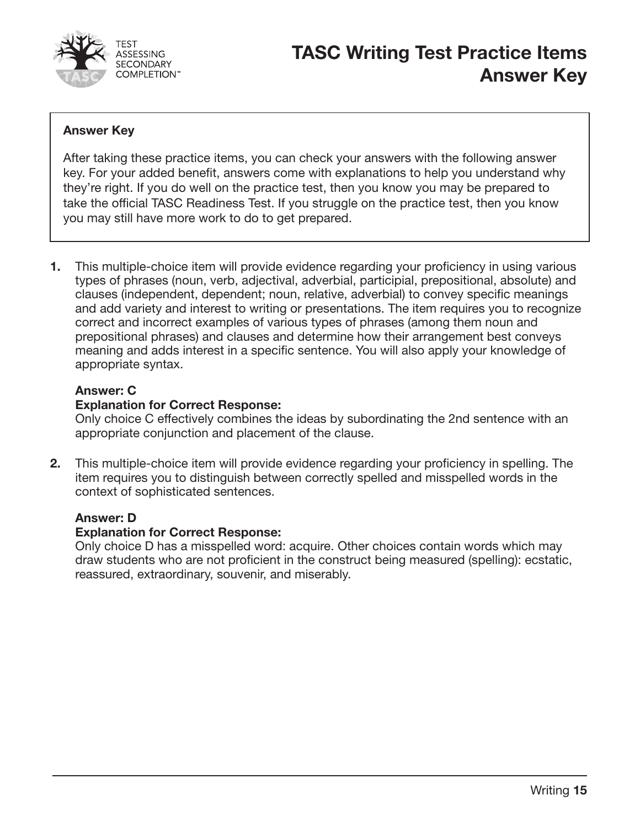

## TASC Writing Test Practice Items Answer Key

### Answer Key

After taking these practice items, you can check your answers with the following answer key. For your added benefit, answers come with explanations to help you understand why they're right. If you do well on the practice test, then you know you may be prepared to take the official TASC Readiness Test. If you struggle on the practice test, then you know you may still have more work to do to get prepared.

1. This multiple-choice item will provide evidence regarding your proficiency in using various types of phrases (noun, verb, adjectival, adverbial, participial, prepositional, absolute) and clauses (independent, dependent; noun, relative, adverbial) to convey specific meanings and add variety and interest to writing or presentations. The item requires you to recognize correct and incorrect examples of various types of phrases (among them noun and prepositional phrases) and clauses and determine how their arrangement best conveys meaning and adds interest in a specific sentence. You will also apply your knowledge of appropriate syntax.

### Answer: C

### Explanation for Correct Response:

Only choice C effectively combines the ideas by subordinating the 2nd sentence with an appropriate conjunction and placement of the clause.

2. This multiple-choice item will provide evidence regarding your proficiency in spelling. The item requires you to distinguish between correctly spelled and misspelled words in the context of sophisticated sentences.

### Answer: D

### Explanation for Correct Response:

Only choice D has a misspelled word: acquire. Other choices contain words which may draw students who are not proficient in the construct being measured (spelling): ecstatic, reassured, extraordinary, souvenir, and miserably.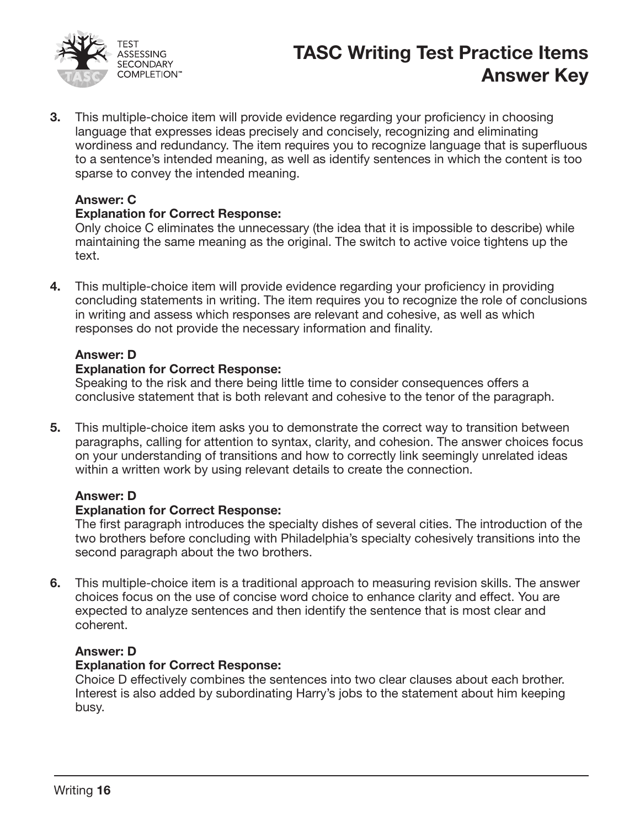

### TASC Writing Test Practice Items Answer Key

3. This multiple-choice item will provide evidence regarding your proficiency in choosing language that expresses ideas precisely and concisely, recognizing and eliminating wordiness and redundancy. The item requires you to recognize language that is superfluous to a sentence's intended meaning, as well as identify sentences in which the content is too sparse to convey the intended meaning.

### Answer: C

### Explanation for Correct Response:

Only choice C eliminates the unnecessary (the idea that it is impossible to describe) while maintaining the same meaning as the original. The switch to active voice tightens up the text.

4. This multiple-choice item will provide evidence regarding your proficiency in providing concluding statements in writing. The item requires you to recognize the role of conclusions in writing and assess which responses are relevant and cohesive, as well as which responses do not provide the necessary information and finality.

### Answer: D

#### Explanation for Correct Response:

Speaking to the risk and there being little time to consider consequences offers a conclusive statement that is both relevant and cohesive to the tenor of the paragraph.

5. This multiple-choice item asks you to demonstrate the correct way to transition between paragraphs, calling for attention to syntax, clarity, and cohesion. The answer choices focus on your understanding of transitions and how to correctly link seemingly unrelated ideas within a written work by using relevant details to create the connection.

### Answer: D

#### Explanation for Correct Response:

The first paragraph introduces the specialty dishes of several cities. The introduction of the two brothers before concluding with Philadelphia's specialty cohesively transitions into the second paragraph about the two brothers.

6. This multiple-choice item is a traditional approach to measuring revision skills. The answer choices focus on the use of concise word choice to enhance clarity and effect. You are expected to analyze sentences and then identify the sentence that is most clear and coherent.

#### Answer: D

#### Explanation for Correct Response:

Choice D effectively combines the sentences into two clear clauses about each brother. Interest is also added by subordinating Harry's jobs to the statement about him keeping busy.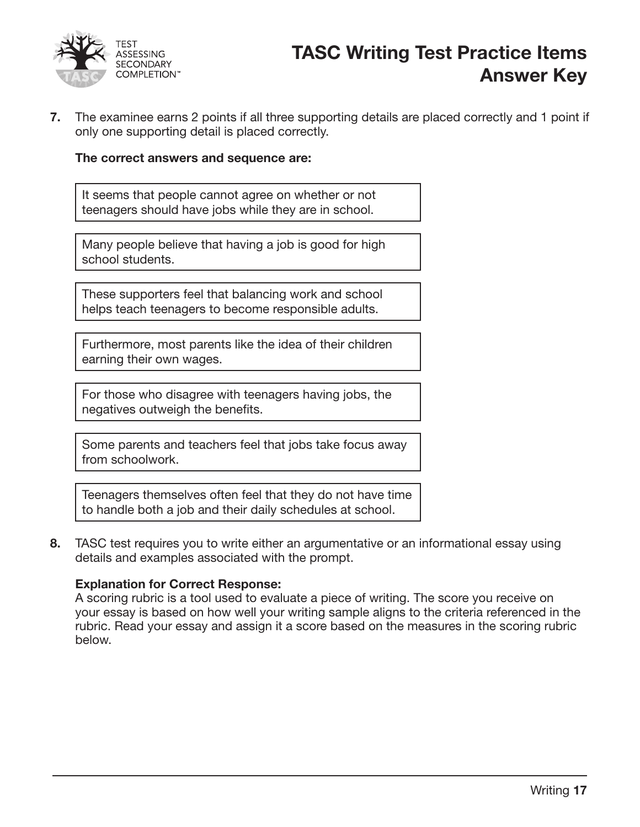

7. The examinee earns 2 points if all three supporting details are placed correctly and 1 point if only one supporting detail is placed correctly.

#### The correct answers and sequence are:

It seems that people cannot agree on whether or not teenagers should have jobs while they are in school.

Many people believe that having a job is good for high school students.

These supporters feel that balancing work and school helps teach teenagers to become responsible adults.

Furthermore, most parents like the idea of their children earning their own wages.

For those who disagree with teenagers having jobs, the negatives outweigh the benefits.

Some parents and teachers feel that jobs take focus away from schoolwork.

Teenagers themselves often feel that they do not have time to handle both a job and their daily schedules at school.

8. TASC test requires you to write either an argumentative or an informational essay using details and examples associated with the prompt.

### Explanation for Correct Response:

A scoring rubric is a tool used to evaluate a piece of writing. The score you receive on your essay is based on how well your writing sample aligns to the criteria referenced in the rubric. Read your essay and assign it a score based on the measures in the scoring rubric below.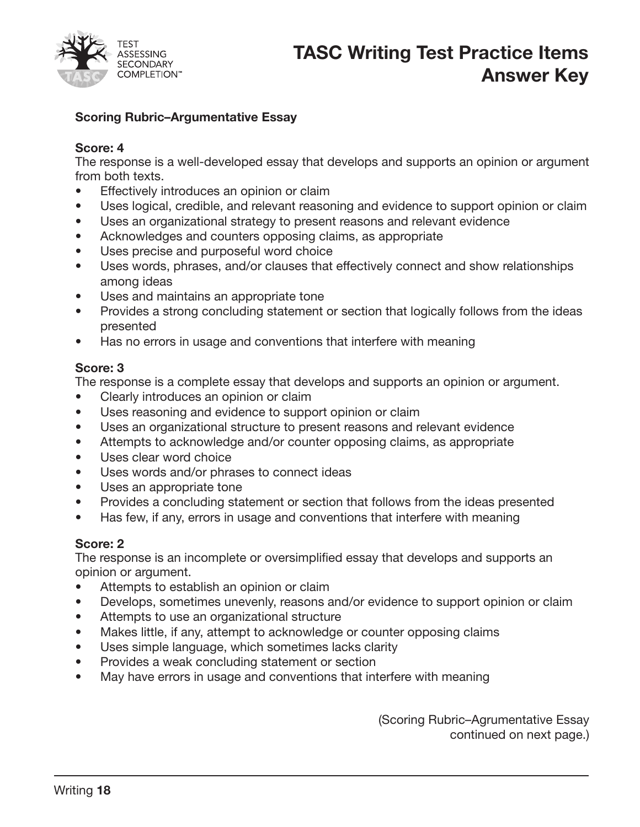

### TASC Writing Test Practice Items Answer Key

### Scoring Rubric–Argumentative Essay

#### Score: 4

The response is a well-developed essay that develops and supports an opinion or argument from both texts.

- Effectively introduces an opinion or claim
- Uses logical, credible, and relevant reasoning and evidence to support opinion or claim
- Uses an organizational strategy to present reasons and relevant evidence
- Acknowledges and counters opposing claims, as appropriate
- Uses precise and purposeful word choice
- Uses words, phrases, and/or clauses that effectively connect and show relationships among ideas
- Uses and maintains an appropriate tone
- Provides a strong concluding statement or section that logically follows from the ideas presented
- Has no errors in usage and conventions that interfere with meaning

### Score: 3

The response is a complete essay that develops and supports an opinion or argument.

- Clearly introduces an opinion or claim
- Uses reasoning and evidence to support opinion or claim
- Uses an organizational structure to present reasons and relevant evidence
- Attempts to acknowledge and/or counter opposing claims, as appropriate
- Uses clear word choice
- Uses words and/or phrases to connect ideas
- Uses an appropriate tone
- Provides a concluding statement or section that follows from the ideas presented
- Has few, if any, errors in usage and conventions that interfere with meaning

### Score: 2

The response is an incomplete or oversimplified essay that develops and supports an opinion or argument.

- Attempts to establish an opinion or claim
- Develops, sometimes unevenly, reasons and/or evidence to support opinion or claim
- Attempts to use an organizational structure
- Makes little, if any, attempt to acknowledge or counter opposing claims
- Uses simple language, which sometimes lacks clarity
- Provides a weak concluding statement or section
- May have errors in usage and conventions that interfere with meaning

(Scoring Rubric–Agrumentative Essay continued on next page.)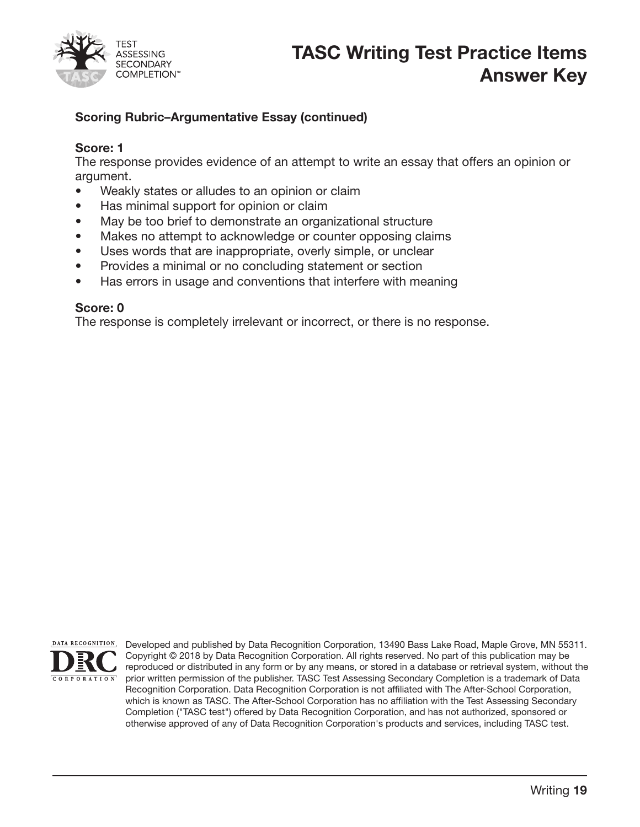

### Scoring Rubric–Argumentative Essay (continued)

#### Score: 1

The response provides evidence of an attempt to write an essay that offers an opinion or argument.

- Weakly states or alludes to an opinion or claim
- Has minimal support for opinion or claim
- May be too brief to demonstrate an organizational structure
- Makes no attempt to acknowledge or counter opposing claims
- Uses words that are inappropriate, overly simple, or unclear
- Provides a minimal or no concluding statement or section
- Has errors in usage and conventions that interfere with meaning

#### Score: 0

The response is completely irrelevant or incorrect, or there is no response.



Developed and published by Data Recognition Corporation, 13490 Bass Lake Road, Maple Grove, MN 55311. Copyright © 2018 by Data Recognition Corporation. All rights reserved. No part of this publication may be reproduced or distributed in any form or by any means, or stored in a database or retrieval system, without the prior written permission of the publisher. TASC Test Assessing Secondary Completion is a trademark of Data Recognition Corporation. Data Recognition Corporation is not affiliated with The After-School Corporation, which is known as TASC. The After-School Corporation has no affiliation with the Test Assessing Secondary Completion ("TASC test") offered by Data Recognition Corporation, and has not authorized, sponsored or otherwise approved of any of Data Recognition Corporation's products and services, including TASC test.